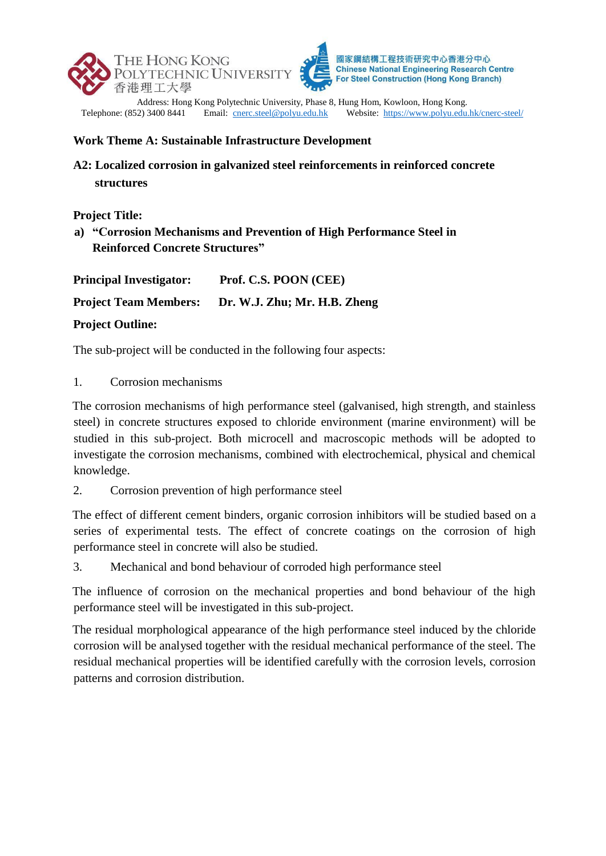



**Chinese National Engineering Research Centre** For Steel Construction (Hong Kong Branch)

Address: Hong Kong Polytechnic University, Phase 8, Hung Hom, Kowloon, Hong Kong.<br>Telephone: (852) 3400 8441 Email: cnerc.steel@polyu.edu.hk Website: https://www.polyu.edu Website:<https://www.polyu.edu.hk/cnerc-steel/>

## **Work Theme A: Sustainable Infrastructure Development**

## **A2: Localized corrosion in galvanized steel reinforcements in reinforced concrete structures**

**Project Title:**

**a) "Corrosion Mechanisms and Prevention of High Performance Steel in Reinforced Concrete Structures"**

| <b>Principal Investigator:</b>             | Prof. C.S. POON (CEE)        |
|--------------------------------------------|------------------------------|
| <b>Project Team Members:</b>               | Dr. W.J. Zhu; Mr. H.B. Zheng |
| $\mathbf{r}$ . $\mathbf{r}$ . $\mathbf{r}$ |                              |

## **Project Outline:**

The sub-project will be conducted in the following four aspects:

1. Corrosion mechanisms

The corrosion mechanisms of high performance steel (galvanised, high strength, and stainless steel) in concrete structures exposed to chloride environment (marine environment) will be studied in this sub-project. Both microcell and macroscopic methods will be adopted to investigate the corrosion mechanisms, combined with electrochemical, physical and chemical knowledge.

2. Corrosion prevention of high performance steel

The effect of different cement binders, organic corrosion inhibitors will be studied based on a series of experimental tests. The effect of concrete coatings on the corrosion of high performance steel in concrete will also be studied.

3. Mechanical and bond behaviour of corroded high performance steel

The influence of corrosion on the mechanical properties and bond behaviour of the high performance steel will be investigated in this sub-project.

The residual morphological appearance of the high performance steel induced by the chloride corrosion will be analysed together with the residual mechanical performance of the steel. The residual mechanical properties will be identified carefully with the corrosion levels, corrosion patterns and corrosion distribution.